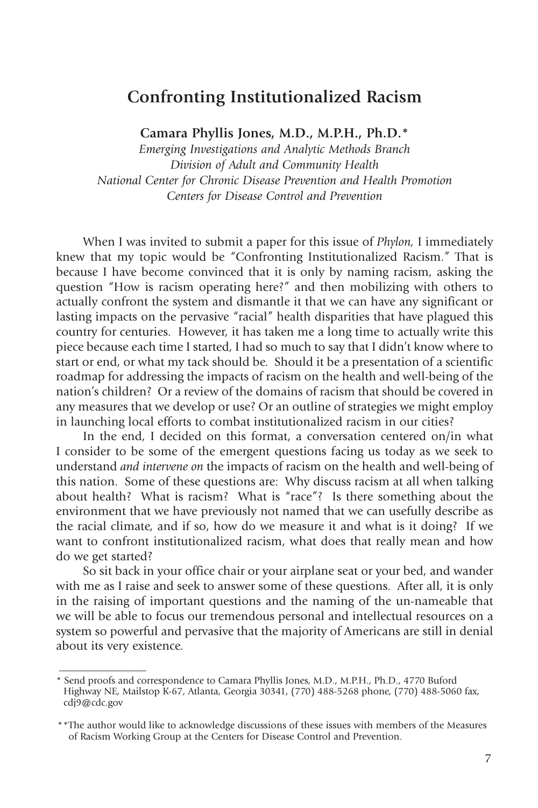# **Confronting Institutionalized Racism**

**Camara Phyllis Jones, M.D., M.P.H., Ph.D.\***

*Emerging Investigations and Analytic Methods Branch Division of Adult and Community Health National Center for Chronic Disease Prevention and Health Promotion Centers for Disease Control and Prevention*

When I was invited to submit a paper for this issue of *Phylon,* I immediately knew that my topic would be "Confronting Institutionalized Racism." That is because I have become convinced that it is only by naming racism, asking the question "How is racism operating here?" and then mobilizing with others to actually confront the system and dismantle it that we can have any significant or lasting impacts on the pervasive "racial" health disparities that have plagued this country for centuries. However, it has taken me a long time to actually write this piece because each time I started, I had so much to say that I didn't know where to start or end, or what my tack should be. Should it be a presentation of a scientific roadmap for addressing the impacts of racism on the health and well-being of the nation's children? Or a review of the domains of racism that should be covered in any measures that we develop or use? Or an outline of strategies we might employ in launching local efforts to combat institutionalized racism in our cities?

In the end, I decided on this format, a conversation centered on/in what I consider to be some of the emergent questions facing us today as we seek to understand *and intervene on* the impacts of racism on the health and well-being of this nation. Some of these questions are: Why discuss racism at all when talking about health? What is racism? What is "race"? Is there something about the environment that we have previously not named that we can usefully describe as the racial climate, and if so, how do we measure it and what is it doing? If we want to confront institutionalized racism, what does that really mean and how do we get started?

So sit back in your office chair or your airplane seat or your bed, and wander with me as I raise and seek to answer some of these questions. After all, it is only in the raising of important questions and the naming of the un-nameable that we will be able to focus our tremendous personal and intellectual resources on a system so powerful and pervasive that the majority of Americans are still in denial about its very existence.

 $\mathcal{L}=\mathcal{L}^{\mathcal{L}}$ 

<sup>\*</sup> Send proofs and correspondence to Camara Phyllis Jones, M.D., M.P.H., Ph.D., 4770 Buford Highway NE, Mailstop K-67, Atlanta, Georgia 30341, (770) 488-5268 phone, (770) 488-5060 fax, cdj9@cdc.gov

<sup>\*\*</sup>The author would like to acknowledge discussions of these issues with members of the Measures of Racism Working Group at the Centers for Disease Control and Prevention.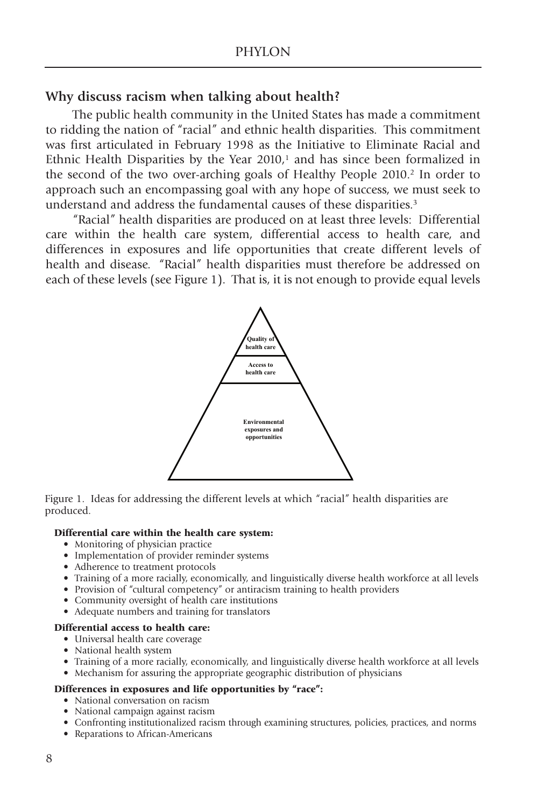### **Why discuss racism when talking about health?**

The public health community in the United States has made a commitment to ridding the nation of "racial" and ethnic health disparities. This commitment was first articulated in February 1998 as the Initiative to Eliminate Racial and Ethnic Health Disparities by the Year  $2010<sup>1</sup>$  and has since been formalized in the second of the two over-arching goals of Healthy People 2010.<sup>2</sup> In order to approach such an encompassing goal with any hope of success, we must seek to understand and address the fundamental causes of these disparities.<sup>3</sup>

"Racial" health disparities are produced on at least three levels: Differential care within the health care system, differential access to health care, and differences in exposures and life opportunities that create different levels of health and disease. "Racial" health disparities must therefore be addressed on each of these levels (see Figure 1). That is, it is not enough to provide equal levels



Figure 1. Ideas for addressing the different levels at which "racial" health disparities are produced.

#### Differential care within the health care system:

- Monitoring of physician practice
- Implementation of provider reminder systems
- Adherence to treatment protocols
- Training of a more racially, economically, and linguistically diverse health workforce at all levels
- Provision of "cultural competency" or antiracism training to health providers
- Community oversight of health care institutions
- Adequate numbers and training for translators

#### Differential access to health care:

- Universal health care coverage
- National health system
- Training of a more racially, economically, and linguistically diverse health workforce at all levels
- Mechanism for assuring the appropriate geographic distribution of physicians

#### Differences in exposures and life opportunities by "race":

- National conversation on racism
- National campaign against racism
- Confronting institutionalized racism through examining structures, policies, practices, and norms
- Reparations to African-Americans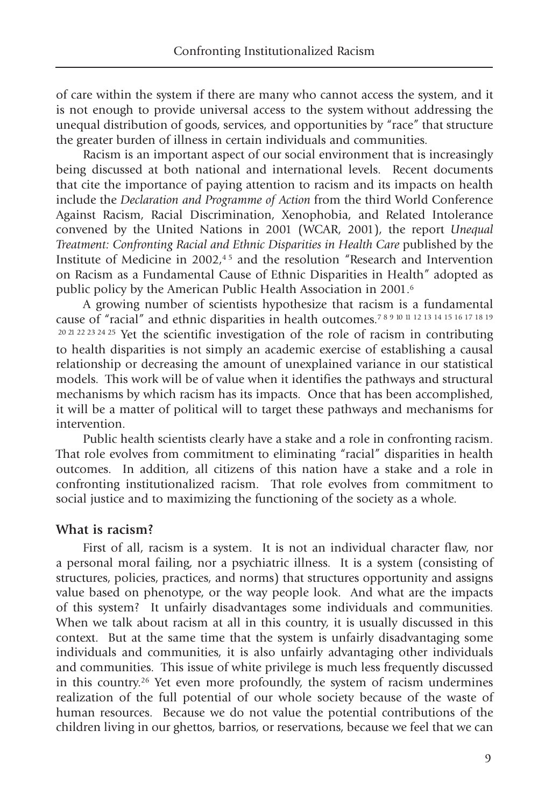of care within the system if there are many who cannot access the system, and it is not enough to provide universal access to the system without addressing the unequal distribution of goods, services, and opportunities by "race" that structure the greater burden of illness in certain individuals and communities.

Racism is an important aspect of our social environment that is increasingly being discussed at both national and international levels. Recent documents that cite the importance of paying attention to racism and its impacts on health include the *Declaration and Programme of Action* from the third World Conference Against Racism, Racial Discrimination, Xenophobia, and Related Intolerance convened by the United Nations in 2001 (WCAR, 2001), the report *Unequal Treatment: Confronting Racial and Ethnic Disparities in Health Care* published by the Institute of Medicine in 2002,<sup>45</sup> and the resolution "Research and Intervention on Racism as a Fundamental Cause of Ethnic Disparities in Health" adopted as public policy by the American Public Health Association in 2001.6

A growing number of scientists hypothesize that racism is a fundamental cause of "racial" and ethnic disparities in health outcomes.7 8 9 10 11 12 13 14 15 16 17 18 19 20 21 22 23 24 25 Yet the scientific investigation of the role of racism in contributing to health disparities is not simply an academic exercise of establishing a causal relationship or decreasing the amount of unexplained variance in our statistical models. This work will be of value when it identifies the pathways and structural mechanisms by which racism has its impacts. Once that has been accomplished, it will be a matter of political will to target these pathways and mechanisms for intervention.

Public health scientists clearly have a stake and a role in confronting racism. That role evolves from commitment to eliminating "racial" disparities in health outcomes. In addition, all citizens of this nation have a stake and a role in confronting institutionalized racism. That role evolves from commitment to social justice and to maximizing the functioning of the society as a whole.

### **What is racism?**

First of all, racism is a system. It is not an individual character flaw, nor a personal moral failing, nor a psychiatric illness. It is a system (consisting of structures, policies, practices, and norms) that structures opportunity and assigns value based on phenotype, or the way people look. And what are the impacts of this system? It unfairly disadvantages some individuals and communities. When we talk about racism at all in this country, it is usually discussed in this context. But at the same time that the system is unfairly disadvantaging some individuals and communities, it is also unfairly advantaging other individuals and communities. This issue of white privilege is much less frequently discussed in this country.<sup>26</sup> Yet even more profoundly, the system of racism undermines realization of the full potential of our whole society because of the waste of human resources. Because we do not value the potential contributions of the children living in our ghettos, barrios, or reservations, because we feel that we can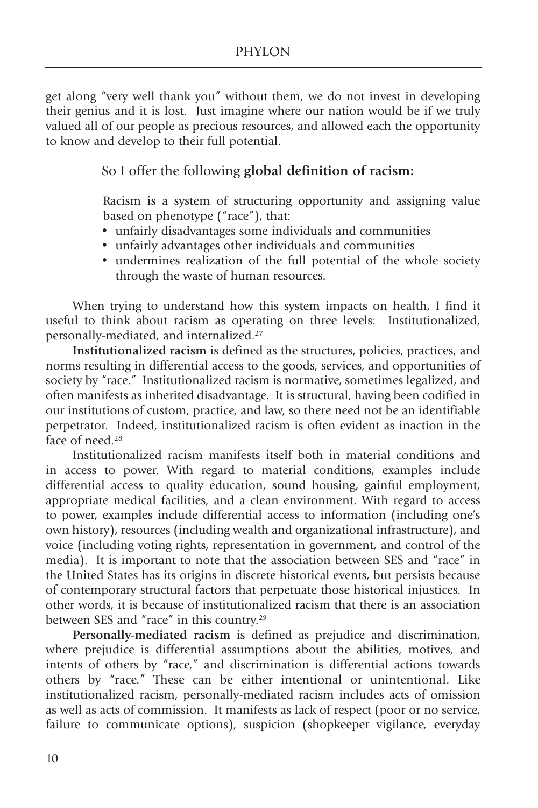get along "very well thank you" without them, we do not invest in developing their genius and it is lost. Just imagine where our nation would be if we truly valued all of our people as precious resources, and allowed each the opportunity to know and develop to their full potential.

## So I offer the following **global definition of racism:**

Racism is a system of structuring opportunity and assigning value based on phenotype ("race"), that:

- unfairly disadvantages some individuals and communities
- unfairly advantages other individuals and communities
- undermines realization of the full potential of the whole society through the waste of human resources.

When trying to understand how this system impacts on health, I find it useful to think about racism as operating on three levels: Institutionalized, personally-mediated, and internalized.27

**Institutionalized racism** is defined as the structures, policies, practices, and norms resulting in differential access to the goods, services, and opportunities of society by "race." Institutionalized racism is normative, sometimes legalized, and often manifests as inherited disadvantage. It is structural, having been codified in our institutions of custom, practice, and law, so there need not be an identifiable perpetrator. Indeed, institutionalized racism is often evident as inaction in the face of need.<sup>28</sup>

Institutionalized racism manifests itself both in material conditions and in access to power. With regard to material conditions, examples include differential access to quality education, sound housing, gainful employment, appropriate medical facilities, and a clean environment. With regard to access to power, examples include differential access to information (including one's own history), resources (including wealth and organizational infrastructure), and voice (including voting rights, representation in government, and control of the media). It is important to note that the association between SES and "race" in the United States has its origins in discrete historical events, but persists because of contemporary structural factors that perpetuate those historical injustices. In other words, it is because of institutionalized racism that there is an association between SES and "race" in this country.29

**Personally-mediated racism** is defined as prejudice and discrimination, where prejudice is differential assumptions about the abilities, motives, and intents of others by "race," and discrimination is differential actions towards others by "race." These can be either intentional or unintentional. Like institutionalized racism, personally-mediated racism includes acts of omission as well as acts of commission. It manifests as lack of respect (poor or no service, failure to communicate options), suspicion (shopkeeper vigilance, everyday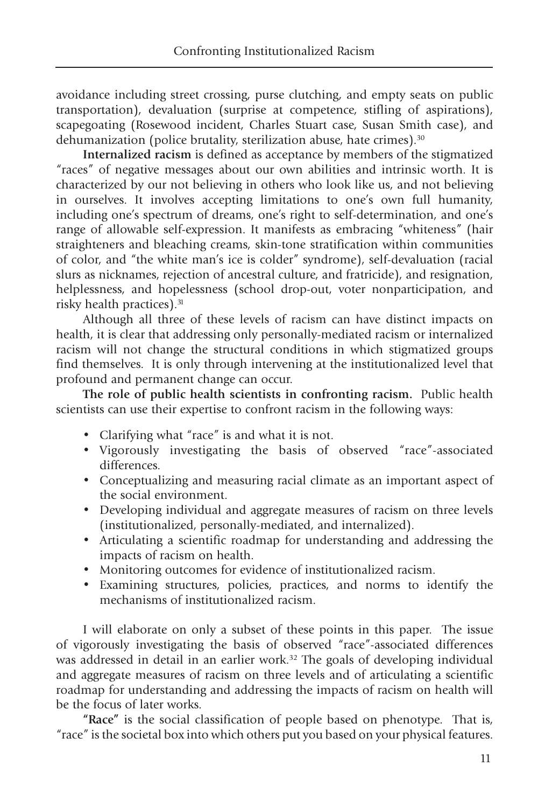avoidance including street crossing, purse clutching, and empty seats on public transportation), devaluation (surprise at competence, stifling of aspirations), scapegoating (Rosewood incident, Charles Stuart case, Susan Smith case), and dehumanization (police brutality, sterilization abuse, hate crimes).<sup>30</sup>

**Internalized racism** is defined as acceptance by members of the stigmatized "races" of negative messages about our own abilities and intrinsic worth. It is characterized by our not believing in others who look like us, and not believing in ourselves. It involves accepting limitations to one's own full humanity, including one's spectrum of dreams, one's right to self-determination, and one's range of allowable self-expression. It manifests as embracing "whiteness" (hair straighteners and bleaching creams, skin-tone stratification within communities of color, and "the white man's ice is colder" syndrome), self-devaluation (racial slurs as nicknames, rejection of ancestral culture, and fratricide), and resignation, helplessness, and hopelessness (school drop-out, voter nonparticipation, and risky health practices).<sup>31</sup>

Although all three of these levels of racism can have distinct impacts on health, it is clear that addressing only personally-mediated racism or internalized racism will not change the structural conditions in which stigmatized groups find themselves. It is only through intervening at the institutionalized level that profound and permanent change can occur.

**The role of public health scientists in confronting racism.** Public health scientists can use their expertise to confront racism in the following ways:

- Clarifying what "race" is and what it is not.
- Vigorously investigating the basis of observed "race"-associated differences.
- Conceptualizing and measuring racial climate as an important aspect of the social environment.
- Developing individual and aggregate measures of racism on three levels (institutionalized, personally-mediated, and internalized).
- Articulating a scientific roadmap for understanding and addressing the impacts of racism on health.
- Monitoring outcomes for evidence of institutionalized racism.
- Examining structures, policies, practices, and norms to identify the mechanisms of institutionalized racism.

I will elaborate on only a subset of these points in this paper. The issue of vigorously investigating the basis of observed "race"-associated differences was addressed in detail in an earlier work.<sup>32</sup> The goals of developing individual and aggregate measures of racism on three levels and of articulating a scientific roadmap for understanding and addressing the impacts of racism on health will be the focus of later works.

**"Race"** is the social classification of people based on phenotype. That is, "race" is the societal box into which others put you based on your physical features.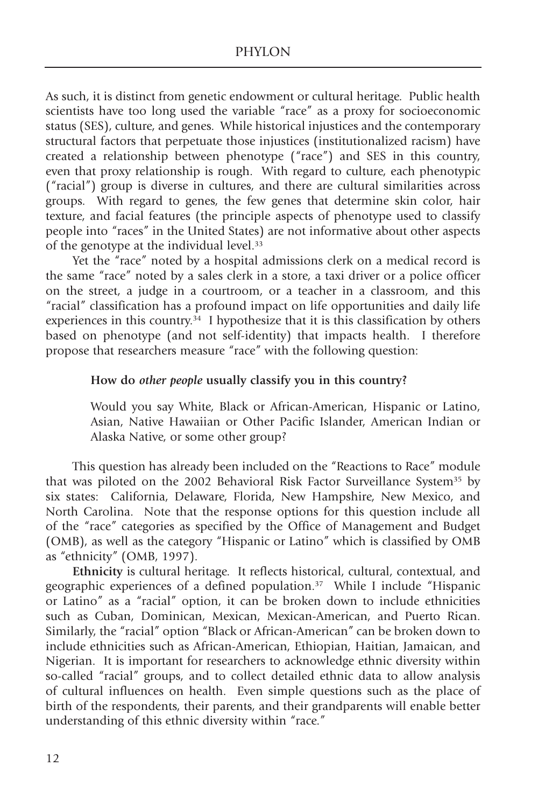As such, it is distinct from genetic endowment or cultural heritage. Public health scientists have too long used the variable "race" as a proxy for socioeconomic status (SES), culture, and genes. While historical injustices and the contemporary structural factors that perpetuate those injustices (institutionalized racism) have created a relationship between phenotype ("race") and SES in this country, even that proxy relationship is rough. With regard to culture, each phenotypic ("racial") group is diverse in cultures, and there are cultural similarities across groups. With regard to genes, the few genes that determine skin color, hair texture, and facial features (the principle aspects of phenotype used to classify people into "races" in the United States) are not informative about other aspects of the genotype at the individual level.<sup>33</sup>

Yet the "race" noted by a hospital admissions clerk on a medical record is the same "race" noted by a sales clerk in a store, a taxi driver or a police officer on the street, a judge in a courtroom, or a teacher in a classroom, and this "racial" classification has a profound impact on life opportunities and daily life experiences in this country.<sup>34</sup> I hypothesize that it is this classification by others based on phenotype (and not self-identity) that impacts health. I therefore propose that researchers measure "race" with the following question:

#### **How do** *other people* **usually classify you in this country?**

Would you say White, Black or African-American, Hispanic or Latino, Asian, Native Hawaiian or Other Pacific Islander, American Indian or Alaska Native, or some other group?

This question has already been included on the "Reactions to Race" module that was piloted on the 2002 Behavioral Risk Factor Surveillance System<sup>35</sup> by six states: California, Delaware, Florida, New Hampshire, New Mexico, and North Carolina. Note that the response options for this question include all of the "race" categories as specified by the Office of Management and Budget (OMB), as well as the category "Hispanic or Latino" which is classified by OMB as "ethnicity" (OMB, 1997).

**Ethnicity** is cultural heritage. It reflects historical, cultural, contextual, and geographic experiences of a defined population.37 While I include "Hispanic or Latino" as a "racial" option, it can be broken down to include ethnicities such as Cuban, Dominican, Mexican, Mexican-American, and Puerto Rican. Similarly, the "racial" option "Black or African-American" can be broken down to include ethnicities such as African-American, Ethiopian, Haitian, Jamaican, and Nigerian. It is important for researchers to acknowledge ethnic diversity within so-called "racial" groups, and to collect detailed ethnic data to allow analysis of cultural influences on health. Even simple questions such as the place of birth of the respondents, their parents, and their grandparents will enable better understanding of this ethnic diversity within "race."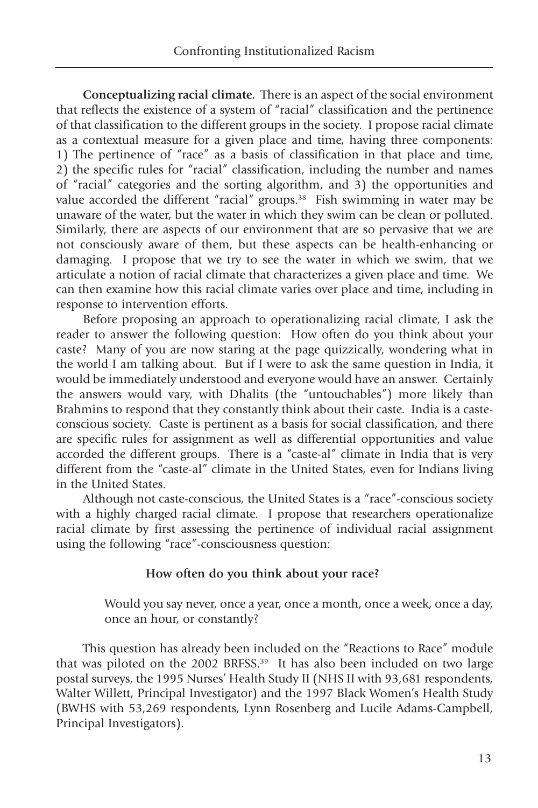**Conceptualizing racial climate.** There is an aspect of the social environment that reflects the existence of a system of "racial" classification and the pertinence of that classification to the different groups in the society. I propose racial climate as a contextual measure for a given place and time, having three components: 1) The pertinence of "race" as a basis of classification in that place and time, 2) the specific rules for "racial" classification, including the number and names of "racial" categories and the sorting algorithm, and 3) the opportunities and value accorded the different "racial" groups.<sup>38</sup> Fish swimming in water may be unaware of the water, but the water in which they swim can be clean or polluted. Similarly, there are aspects of our environment that are so pervasive that we are not consciously aware of them, but these aspects can be health-enhancing or damaging. I propose that we try to see the water in which we swim, that we articulate a notion of racial climate that characterizes a given place and time. We can then examine how this racial climate varies over place and time, including in response to intervention efforts.

Before proposing an approach to operationalizing racial climate, I ask the reader to answer the following question: How often do you think about your caste? Many of you are now staring at the page quizzically, wondering what in the world I am talking about. But if I were to ask the same question in India, it would be immediately understood and everyone would have an answer. Certainly the answers would vary, with Dhalits (the "untouchables") more likely than Brahmins to respond that they constantly think about their caste. India is a casteconscious society. Caste is pertinent as a basis for social classification, and there are specific rules for assignment as well as differential opportunities and value accorded the different groups. There is a "caste-al" climate in India that is very different from the "caste-al" climate in the United States, even for Indians living in the United States.

Although not caste-conscious, the United States is a "race"-conscious society with a highly charged racial climate. I propose that researchers operationalize racial climate by first assessing the pertinence of individual racial assignment using the following "race"-consciousness question:

### **How often do you think about your race?**

Would you say never, once a year, once a month, once a week, once a day, once an hour, or constantly?

This question has already been included on the "Reactions to Race" module that was piloted on the 2002 BRFSS.<sup>39</sup> It has also been included on two large postal surveys, the 1995 Nurses' Health Study II (NHS II with 93,681 respondents, Walter Willett, Principal Investigator) and the 1997 Black Women's Health Study (BWHS with 53,269 respondents, Lynn Rosenberg and Lucile Adams-Campbell, Principal Investigators).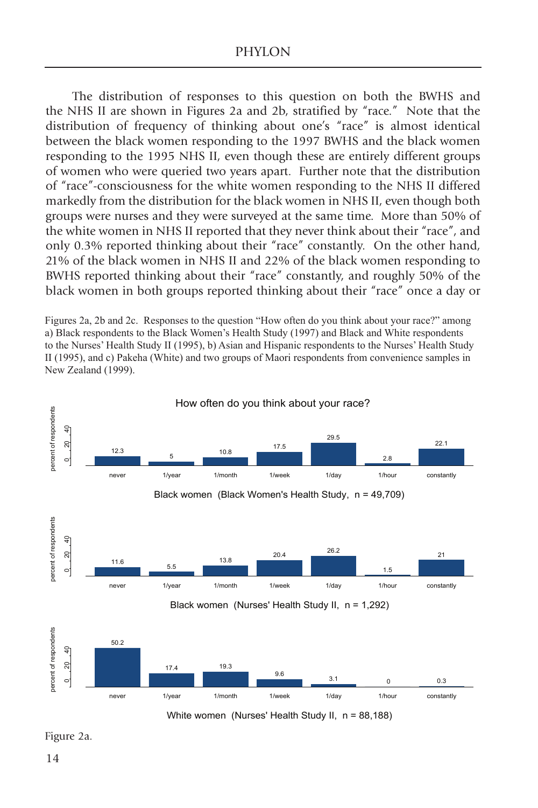The distribution of responses to this question on both the BWHS and the NHS II are shown in Figures 2a and 2b, stratified by "race." Note that the distribution of frequency of thinking about one's "race" is almost identical between the black women responding to the 1997 BWHS and the black women responding to the 1995 NHS II, even though these are entirely different groups of women who were queried two years apart. Further note that the distribution of "race"-consciousness for the white women responding to the NHS II differed markedly from the distribution for the black women in NHS II, even though both groups were nurses and they were surveyed at the same time. More than 50% of the white women in NHS II reported that they never think about their "race", and only 0.3% reported thinking about their "race" constantly. On the other hand, 21% of the black women in NHS II and 22% of the black women responding to BWHS reported thinking about their "race" constantly, and roughly 50% of the black women in both groups reported thinking about their "race" once a day or

Figures 2a, 2b and 2c. Responses to the question "How often do you think about your race?" among a) Black respondents to the Black Women's Health Study (1997) and Black and White respondents to the Nurses' Health Study II (1995), b) Asian and Hispanic respondents to the Nurses' Health Study II (1995), and c) Pakeha (White) and two groups of Maori respondents from convenience samples in New Zealand (1999).



Figure 2a.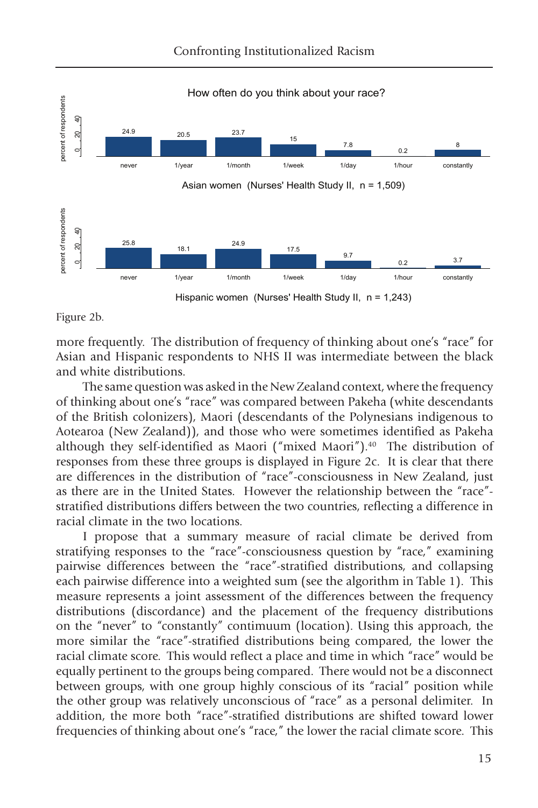

Figure 2b.

more frequently. The distribution of frequency of thinking about one's "race" for Asian and Hispanic respondents to NHS II was intermediate between the black and white distributions.

The same question was asked in the New Zealand context, where the frequency of thinking about one's "race" was compared between Pakeha (white descendants of the British colonizers), Maori (descendants of the Polynesians indigenous to Aotearoa (New Zealand)), and those who were sometimes identified as Pakeha although they self-identified as Maori ("mixed Maori").<sup>40</sup> The distribution of responses from these three groups is displayed in Figure 2c. It is clear that there are differences in the distribution of "race"-consciousness in New Zealand, just as there are in the United States. However the relationship between the "race" stratified distributions differs between the two countries, reflecting a difference in racial climate in the two locations.

I propose that a summary measure of racial climate be derived from stratifying responses to the "race"-consciousness question by "race," examining pairwise differences between the "race"-stratified distributions, and collapsing each pairwise difference into a weighted sum (see the algorithm in Table 1). This measure represents a joint assessment of the differences between the frequency distributions (discordance) and the placement of the frequency distributions on the "never" to "constantly" contimuum (location). Using this approach, the more similar the "race"-stratified distributions being compared, the lower the racial climate score. This would reflect a place and time in which "race" would be equally pertinent to the groups being compared. There would not be a disconnect between groups, with one group highly conscious of its "racial" position while the other group was relatively unconscious of "race" as a personal delimiter. In addition, the more both "race"-stratified distributions are shifted toward lower frequencies of thinking about one's "race," the lower the racial climate score. This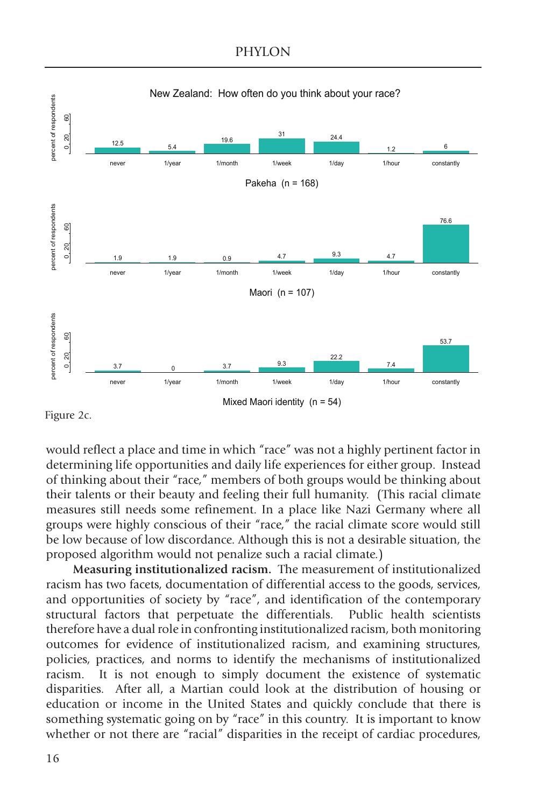#### PHYLON



Figure 2c.

would reflect a place and time in which "race" was not a highly pertinent factor in determining life opportunities and daily life experiences for either group. Instead of thinking about their "race," members of both groups would be thinking about their talents or their beauty and feeling their full humanity. (This racial climate measures still needs some refinement. In a place like Nazi Germany where all groups were highly conscious of their "race," the racial climate score would still be low because of low discordance. Although this is not a desirable situation, the proposed algorithm would not penalize such a racial climate.)

**Measuring institutionalized racism.** The measurement of institutionalized racism has two facets, documentation of differential access to the goods, services, and opportunities of society by "race", and identification of the contemporary structural factors that perpetuate the differentials. Public health scientists therefore have a dual role in confronting institutionalized racism, both monitoring outcomes for evidence of institutionalized racism, and examining structures, policies, practices, and norms to identify the mechanisms of institutionalized racism. It is not enough to simply document the existence of systematic disparities. After all, a Martian could look at the distribution of housing or education or income in the United States and quickly conclude that there is something systematic going on by "race" in this country. It is important to know whether or not there are "racial" disparities in the receipt of cardiac procedures,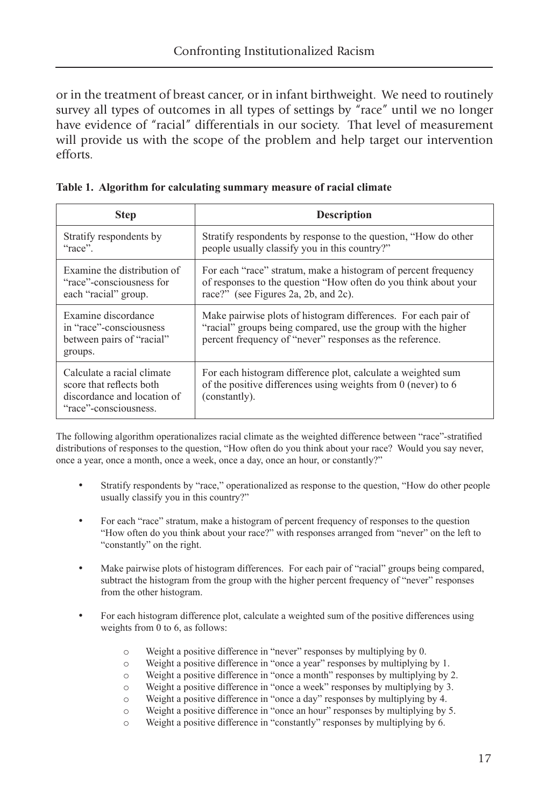or in the treatment of breast cancer, or in infant birthweight. We need to routinely survey all types of outcomes in all types of settings by "race" until we no longer have evidence of "racial" differentials in our society. That level of measurement will provide us with the scope of the problem and help target our intervention efforts.

|  |  | Table 1. Algorithm for calculating summary measure of racial climate |  |  |  |
|--|--|----------------------------------------------------------------------|--|--|--|
|--|--|----------------------------------------------------------------------|--|--|--|

| <b>Step</b>                                                                                                    | <b>Description</b>                                                                                                                                                                          |  |  |
|----------------------------------------------------------------------------------------------------------------|---------------------------------------------------------------------------------------------------------------------------------------------------------------------------------------------|--|--|
| Stratify respondents by<br>"race".                                                                             | Stratify respondents by response to the question, "How do other<br>people usually classify you in this country?"                                                                            |  |  |
| Examine the distribution of<br>"race"-consciousness for<br>each "racial" group.                                | For each "race" stratum, make a histogram of percent frequency<br>of responses to the question "How often do you think about your<br>race?" (see Figures 2a, 2b, and 2c).                   |  |  |
| Examine discordance<br>in "race"-consciousness<br>between pairs of "racial"<br>groups.                         | Make pairwise plots of histogram differences. For each pair of<br>"racial" groups being compared, use the group with the higher<br>percent frequency of "never" responses as the reference. |  |  |
| Calculate a racial climate<br>score that reflects both<br>discordance and location of<br>"race"-consciousness. | For each histogram difference plot, calculate a weighted sum<br>of the positive differences using weights from $0$ (never) to $6$<br>(constantly).                                          |  |  |

The following algorithm operationalizes racial climate as the weighted difference between "race"-stratified distributions of responses to the question, "How often do you think about your race? Would you say never, once a year, once a month, once a week, once a day, once an hour, or constantly?"

- Stratify respondents by "race," operationalized as response to the question, "How do other people usually classify you in this country?"
- For each "race" stratum, make a histogram of percent frequency of responses to the question "How often do you think about your race?" with responses arranged from "never" on the left to "constantly" on the right.
- Make pairwise plots of histogram differences. For each pair of "racial" groups being compared, subtract the histogram from the group with the higher percent frequency of "never" responses from the other histogram.
- For each histogram difference plot, calculate a weighted sum of the positive differences using weights from 0 to 6, as follows:
	- o Weight a positive difference in "never" responses by multiplying by 0.
	- o Weight a positive difference in "once a year" responses by multiplying by 1.
	- o Weight a positive difference in "once a month" responses by multiplying by 2.
	- o Weight a positive difference in "once a week" responses by multiplying by 3.
	- o Weight a positive difference in "once a day" responses by multiplying by 4.
	- o Weight a positive difference in "once an hour" responses by multiplying by 5.
	- o Weight a positive difference in "constantly" responses by multiplying by 6.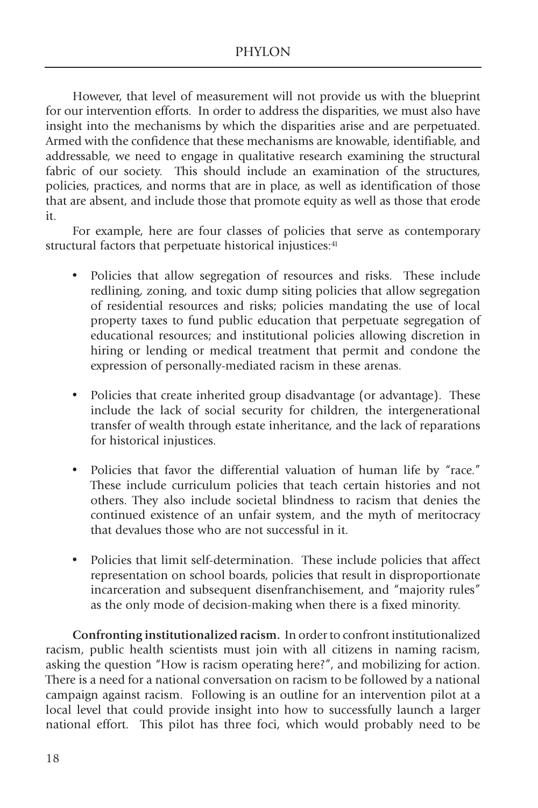However, that level of measurement will not provide us with the blueprint for our intervention efforts. In order to address the disparities, we must also have insight into the mechanisms by which the disparities arise and are perpetuated. Armed with the confidence that these mechanisms are knowable, identifiable, and addressable, we need to engage in qualitative research examining the structural fabric of our society. This should include an examination of the structures, policies, practices, and norms that are in place, as well as identification of those that are absent, and include those that promote equity as well as those that erode it.

For example, here are four classes of policies that serve as contemporary structural factors that perpetuate historical injustices:<sup>41</sup>

- Policies that allow segregation of resources and risks. These include redlining, zoning, and toxic dump siting policies that allow segregation of residential resources and risks; policies mandating the use of local property taxes to fund public education that perpetuate segregation of educational resources; and institutional policies allowing discretion in hiring or lending or medical treatment that permit and condone the expression of personally-mediated racism in these arenas.
- Policies that create inherited group disadvantage (or advantage). These include the lack of social security for children, the intergenerational transfer of wealth through estate inheritance, and the lack of reparations for historical injustices.
- Policies that favor the differential valuation of human life by "race." These include curriculum policies that teach certain histories and not others. They also include societal blindness to racism that denies the continued existence of an unfair system, and the myth of meritocracy that devalues those who are not successful in it.
- Policies that limit self-determination. These include policies that affect representation on school boards, policies that result in disproportionate incarceration and subsequent disenfranchisement, and "majority rules" as the only mode of decision-making when there is a fixed minority.

**Confronting institutionalized racism.** In order to confront institutionalized racism, public health scientists must join with all citizens in naming racism, asking the question "How is racism operating here?", and mobilizing for action. There is a need for a national conversation on racism to be followed by a national campaign against racism. Following is an outline for an intervention pilot at a local level that could provide insight into how to successfully launch a larger national effort. This pilot has three foci, which would probably need to be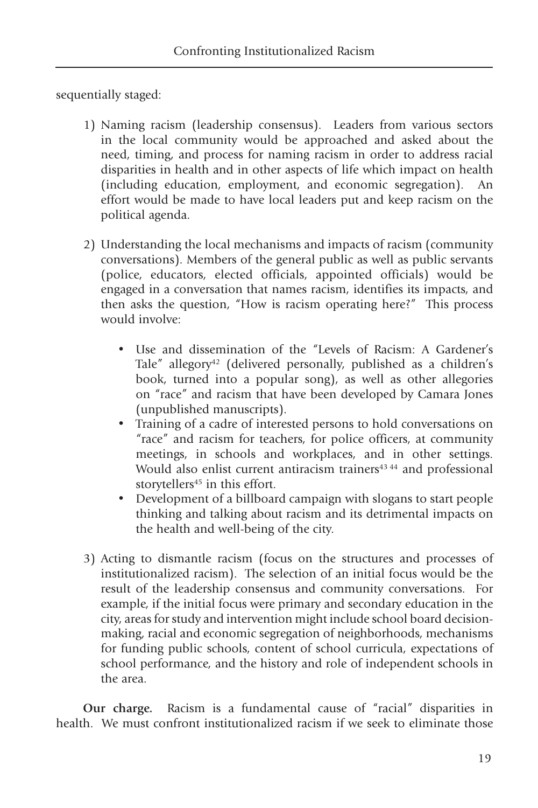sequentially staged:

- 1) Naming racism (leadership consensus). Leaders from various sectors in the local community would be approached and asked about the need, timing, and process for naming racism in order to address racial disparities in health and in other aspects of life which impact on health (including education, employment, and economic segregation). An effort would be made to have local leaders put and keep racism on the political agenda.
- 2) Understanding the local mechanisms and impacts of racism (community conversations). Members of the general public as well as public servants (police, educators, elected officials, appointed officials) would be engaged in a conversation that names racism, identifies its impacts, and then asks the question, "How is racism operating here?" This process would involve:
	- Use and dissemination of the "Levels of Racism: A Gardener's Tale" allegory<sup>42</sup> (delivered personally, published as a children's book, turned into a popular song), as well as other allegories on "race" and racism that have been developed by Camara Jones (unpublished manuscripts).
	- Training of a cadre of interested persons to hold conversations on "race" and racism for teachers, for police officers, at community meetings, in schools and workplaces, and in other settings. Would also enlist current antiracism trainers<sup>43 44</sup> and professional storytellers<sup>45</sup> in this effort.
	- Development of a billboard campaign with slogans to start people thinking and talking about racism and its detrimental impacts on the health and well-being of the city.
- 3) Acting to dismantle racism (focus on the structures and processes of institutionalized racism). The selection of an initial focus would be the result of the leadership consensus and community conversations. For example, if the initial focus were primary and secondary education in the city, areas for study and intervention might include school board decisionmaking, racial and economic segregation of neighborhoods, mechanisms for funding public schools, content of school curricula, expectations of school performance, and the history and role of independent schools in the area.

**Our charge.** Racism is a fundamental cause of "racial" disparities in health. We must confront institutionalized racism if we seek to eliminate those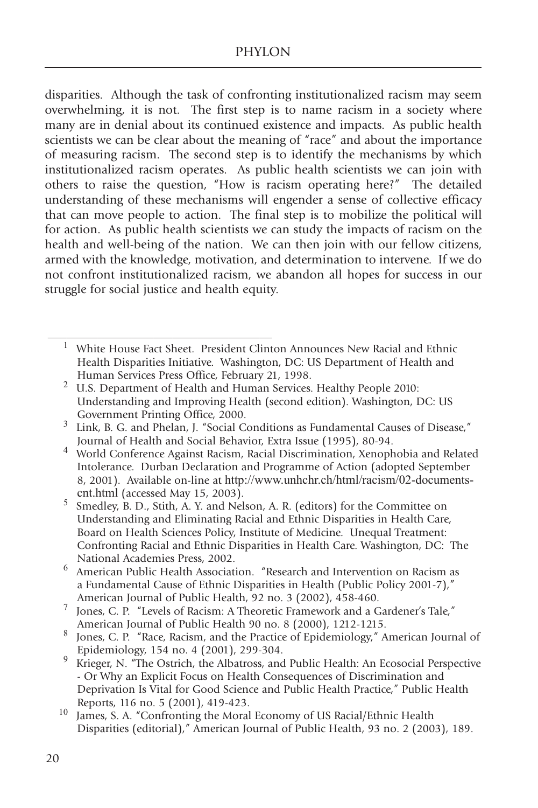disparities. Although the task of confronting institutionalized racism may seem overwhelming, it is not. The first step is to name racism in a society where many are in denial about its continued existence and impacts. As public health scientists we can be clear about the meaning of "race" and about the importance of measuring racism. The second step is to identify the mechanisms by which institutionalized racism operates. As public health scientists we can join with others to raise the question, "How is racism operating here?" The detailed understanding of these mechanisms will engender a sense of collective efficacy that can move people to action. The final step is to mobilize the political will for action. As public health scientists we can study the impacts of racism on the health and well-being of the nation. We can then join with our fellow citizens, armed with the knowledge, motivation, and determination to intervene. If we do not confront institutionalized racism, we abandon all hopes for success in our struggle for social justice and health equity.

 $\_$  . The contribution of the contribution of  $\mathcal{L}_\mathcal{A}$ 

 $^{\rm 1}$  White House Fact Sheet. President Clinton Announces New Racial and Ethnic Health Disparities Initiative. Washington, DC: US Department of Health and

<sup>&</sup>lt;sup>2</sup> U.S. Department of Health and Human Services. Healthy People 2010: Understanding and Improving Health (second edition). Washington, DC: US

Fink, B. G. and Phelan, J. "Social Conditions as Fundamental Causes of Disease,"<br>Journal of Health and Social Behavior, Extra Issue (1995), 80-94.

<sup>&</sup>lt;sup>4</sup> World Conference Against Racism, Racial Discrimination, Xenophobia and Related Intolerance. Durban Declaration and Programme of Action (adopted September 8, 2001). Available on-line at http://www.unhchr.ch/html/racism/02-documents-

<sup>&</sup>lt;sup>5</sup> Smedley, B. D., Stith, A. Y. and Nelson, A. R. (editors) for the Committee on Understanding and Eliminating Racial and Ethnic Disparities in Health Care, Board on Health Sciences Policy, Institute of Medicine. Unequal Treatment: Confronting Racial and Ethnic Disparities in Health Care. Washington, DC: The National Academies Press, 2002.

 $^6\;$  American Public Health Association. <br> "Research and Intervention on Racism as a Fundamental Cause of Ethnic Disparities in Health (Public Policy 2001-7),"<br>American Journal of Public Health, 92 no. 3 (2002), 458-460.

American Journal of Public Health 90 no. 8 (2000), 1212-1215.<br>American Journal of Public Health 90 no. 8 (2000), 1212-1215.

<sup>&</sup>lt;sup>8</sup> Jones, C. P. "Race, Racism, and the Practice of Epidemiology," American Journal of Epidemiology, 154 no. 4 (2001), 299-304.

Krieger, N. "The Ostrich, the Albatross, and Public Health: An Ecosocial Perspective - Or Why an Explicit Focus on Health Consequences of Discrimination and Deprivation Is Vital for Good Science and Public Health Practice," Public Health

Reports, 116 no. 5 (2001), 419-423.<br><sup>10</sup> James, S. A. "Confronting the Moral Economy of US Racial/Ethnic Health Disparities (editorial)," American Journal of Public Health, 93 no. 2 (2003), 189.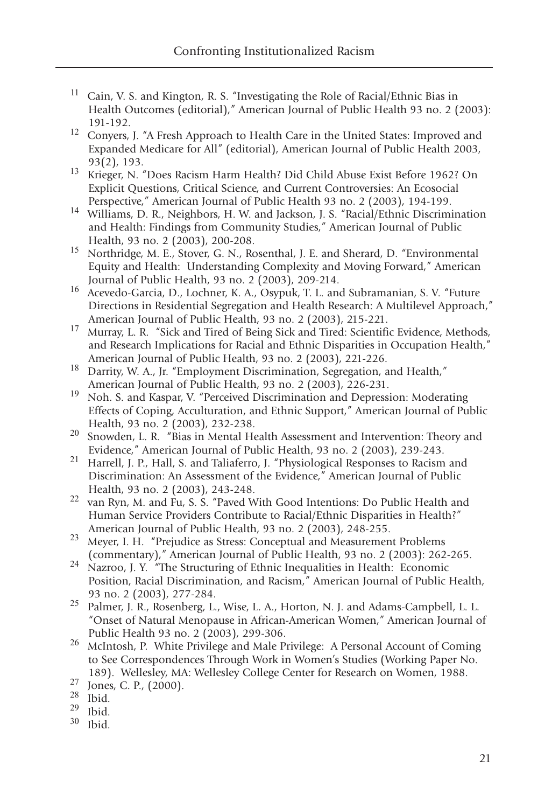- $11$  Cain, V. S. and Kington, R. S. "Investigating the Role of Racial/Ethnic Bias in Health Outcomes (editorial)," American Journal of Public Health 93 no. 2 (2003): 191-192.
- <sup>12</sup> Conyers, J. "A Fresh Approach to Health Care in the United States: Improved and Expanded Medicare for All" (editorial), American Journal of Public Health 2003,
- <sup>13</sup> Krieger, N. "Does Racism Harm Health? Did Child Abuse Exist Before 1962? On Explicit Questions, Critical Science, and Current Controversies: An Ecosocial
- <sup>14</sup> Williams, D. R., Neighbors, H. W. and Jackson, J. S. "Racial/Ethnic Discrimination and Health: Findings from Community Studies," American Journal of Public Health, 93 no. 2 (2003), 200-208.
- <sup>15</sup> Northridge, M. E., Stover, G. N., Rosenthal, J. E. and Sherard, D. "Environmental Equity and Health: Understanding Complexity and Moving Forward," American
- <sup>16</sup> Acevedo-Garcia, D., Lochner, K. A., Osypuk, T. L. and Subramanian, S. V. "Future Directions in Residential Segregation and Health Research: A Multilevel Approach,"
- <sup>17</sup> Murray, L. R. "Sick and Tired of Being Sick and Tired: Scientific Evidence, Methods, and Research Implications for Racial and Ethnic Disparities in Occupation Health,"
- American Journal of Public Health, 93 no. 2 (2003), 221-226.<br>
<sup>18</sup> Darrity, W. A., Jr. "Employment Discrimination, Segregation, and Health,"<br>
American Journal of Public Health, 93 no. 2 (2003), 226-231.
- $^{19}$  Noh. S. and Kaspar, V. "Perceived Discrimination and Depression: Moderating Effects of Coping, Acculturation, and Ethnic Support," American Journal of Public
- Health, 93 no. 2 (2003), 232-238.<br><sup>20</sup> Snowden, L. R. "Bias in Mental Health Assessment and Intervention: Theory and
- Evidence," American Journal of Public Health, 93 no. 2 (2003), 239-243. 21 Harrell, J. P., Hall, S. and Taliaferro, J. "Physiological Responses to Racism and Discrimination: An Assessment of the Evidence," American Journal of Public
- Health, 93 no. 2 (2003), 243-248. 22 van Ryn, M. and Fu, S. S. "Paved With Good Intentions: Do Public Health and Human Service Providers Contribute to Racial/Ethnic Disparities in Health?"<br>American Journal of Public Health, 93 no. 2 (2003), 248-255.
- <sup>23</sup> Meyer, I. H. "Prejudice as Stress: Conceptual and Measurement Problems
- (commentary)," American Journal of Public Health, 93 no. 2 (2003): 262-265. 24 Nazroo, J. Y. "The Structuring of Ethnic Inequalities in Health: Economic Position, Racial Discrimination, and Racism," American Journal of Public Health,
- 93 no. 2 (2003), 277-284. 25 Palmer, J. R., Rosenberg, L., Wise, L. A., Horton, N. J. and Adams-Campbell, L. L. "Onset of Natural Menopause in African-American Women," American Journal of
- <sup>26</sup> McIntosh, P. White Privilege and Male Privilege: A Personal Account of Coming to See Correspondences Through Work in Women's Studies (Working Paper No. 189). Wellesley, MA: Wellesley College Center for Research on Women, 1988.<br>
<sup>27</sup> Jones, C. P., (2000).<br>
<sup>28</sup> Ibid.<br>
<sup>29</sup> Li-id.

Ibid.

 $rac{29}{30}$  Ibid.